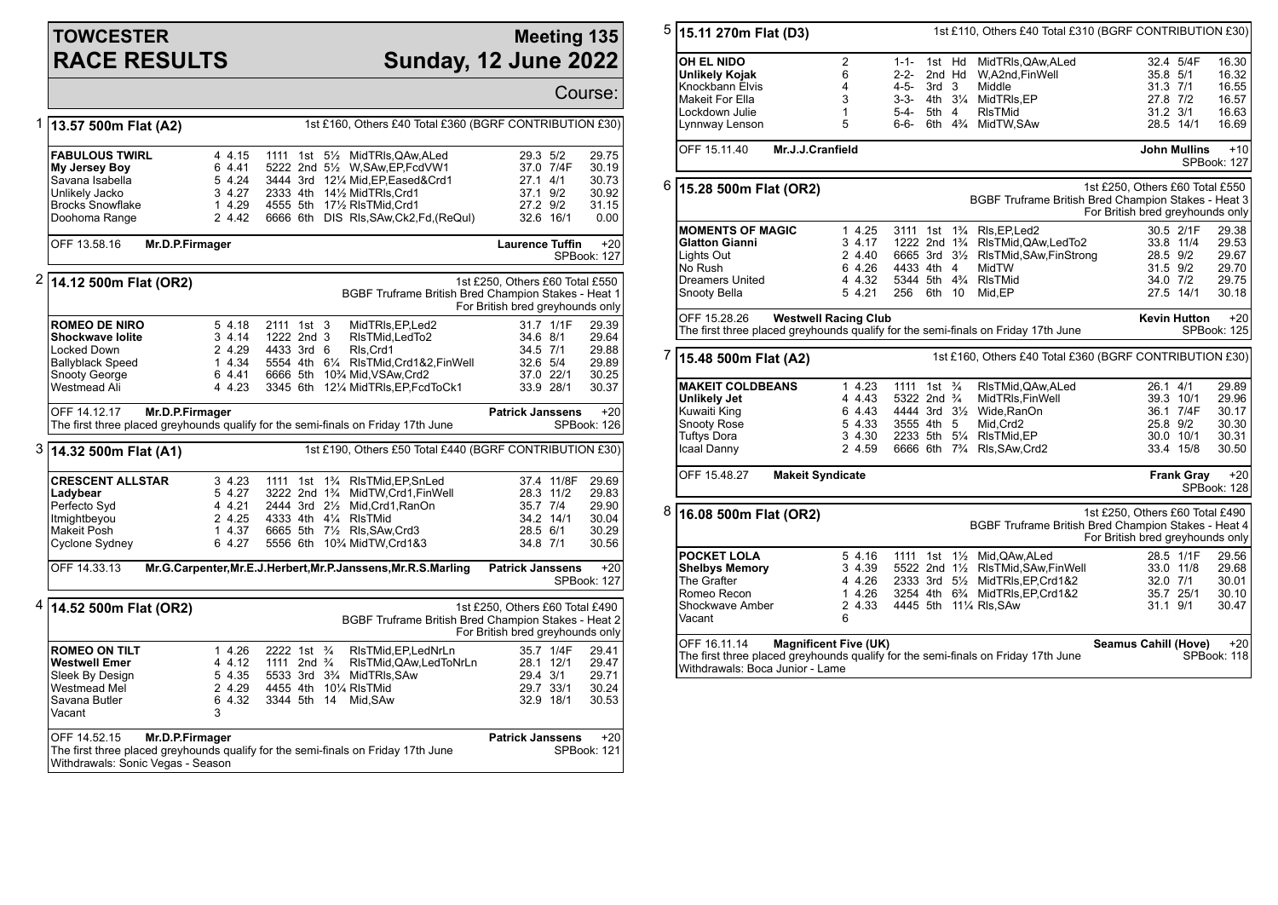# **TOWCESTER RACE RESULTS**

### **Meeting 135 Sunday, 12 June 2022**

|   |                                                                                                                                                           |                                                          |                                                                                                         |                                                                                                                                                                                                                                                 | Course:                                                                                                                        |
|---|-----------------------------------------------------------------------------------------------------------------------------------------------------------|----------------------------------------------------------|---------------------------------------------------------------------------------------------------------|-------------------------------------------------------------------------------------------------------------------------------------------------------------------------------------------------------------------------------------------------|--------------------------------------------------------------------------------------------------------------------------------|
| 1 | 13.57 500m Flat (A2)                                                                                                                                      |                                                          |                                                                                                         | 1st £160, Others £40 Total £360 (BGRF CONTRIBUTION £30)                                                                                                                                                                                         |                                                                                                                                |
|   | <b>FABULOUS TWIRL</b><br>My Jersey Boy<br>Savana Isabella<br>Unlikely Jacko<br><b>Brocks Snowflake</b><br>Doohoma Range                                   | 4 4.15<br>6 4.41<br>5 4.24<br>3 4.27<br>1 4.29<br>2 4.42 |                                                                                                         | 1111 1st 5 <sup>1</sup> / <sub>2</sub> MidTRIs, QAw, ALed<br>5222 2nd 51/2 W, SAw, EP, Fcd VW1<br>3444 3rd 121/4 Mid, EP, Eased& Crd1<br>2333 4th 141/2 MidTRIs, Crd1<br>4555 5th 171/2 RIsTMid.Crd1<br>6666 6th DIS RIs, SAw, Ck2, Fd, (ReQuI) | 29.3 5/2<br>29.75<br>30.19<br>37.0 7/4F<br>$27.1$ 4/1<br>30.73<br>37.1 9/2<br>30.92<br>27.2 9/2<br>31.15<br>32.6 16/1<br>0.00  |
|   | OFF 13.58.16<br>Mr.D.P.Firmager                                                                                                                           |                                                          |                                                                                                         |                                                                                                                                                                                                                                                 | <b>Laurence Tuffin</b><br>$+20$<br>SPBook: 127                                                                                 |
| 2 | 14.12 500m Flat (OR2)                                                                                                                                     |                                                          |                                                                                                         |                                                                                                                                                                                                                                                 | 1st £250, Others £60 Total £550<br>BGBF Truframe British Bred Champion Stakes - Heat 1<br>For British bred greyhounds only     |
|   | <b>ROMEO DE NIRO</b><br><b>Shockwave lolite</b><br>Locked Down<br>Ballyblack Speed<br>Snooty George<br>Westmead Ali                                       | 5 4.18<br>34.14<br>2 4.29<br>1 4.34<br>6 4.41<br>4 4.23  | 2111 1st 3<br>1222 2nd 3<br>4433 3rd 6                                                                  | MidTRIs, EP, Led2<br>RIsTMid.LedTo2<br>RIs, Crd1<br>5554 4th 61/4 RIsTMid, Crd 1&2, Fin Well<br>6666 5th 10 <sup>3</sup> / <sub>4</sub> Mid, VSAw, Crd2<br>3345 6th 121/4 MidTRIs, EP, FcdToCk1                                                 | 31.7 1/1F<br>29.39<br>34.6 8/1<br>29.64<br>34.5 7/1<br>29.88<br>32.6 5/4<br>29.89<br>37.0 22/1<br>30.25<br>33.9 28/1<br>30.37  |
|   | OFF 14.12.17<br>Mr.D.P.Firmager<br>The first three placed greyhounds qualify for the semi-finals on Friday 17th June                                      |                                                          |                                                                                                         |                                                                                                                                                                                                                                                 | <b>Patrick Janssens</b><br>$+20$<br>SPBook: 126                                                                                |
| 3 | 14.32 500m Flat (A1)                                                                                                                                      |                                                          |                                                                                                         | 1st £190, Others £50 Total £440 (BGRF CONTRIBUTION £30)                                                                                                                                                                                         |                                                                                                                                |
|   | <b>CRESCENT ALLSTAR</b><br>Ladybear<br>Perfecto Syd<br>Itmightbeyou<br>Makeit Posh<br>Cyclone Sydney                                                      | 3 4.23<br>5 4.27<br>4 4.21<br>2 4.25<br>1 4.37<br>6 4.27 | 1111<br>1st<br>3222 2nd 1 <sup>3</sup> / <sub>4</sub><br>2444 3rd 21/2<br>4333 4th 41/4 RIsTMid         | $1\frac{3}{4}$<br>RIsTMid, EP, SnLed<br>MidTW, Crd1, FinWell<br>Mid, Crd1, RanOn<br>6665 5th 71/2 RIs, SAw, Crd3<br>5556 6th 10% MidTW, Crd1&3                                                                                                  | 37.4 11/8F<br>29.69<br>28.3 11/2<br>29.83<br>35.7 7/4<br>29.90<br>34.2 14/1<br>30.04<br>28.5 6/1<br>30.29<br>34.8 7/1<br>30.56 |
|   | OFF 14.33.13                                                                                                                                              |                                                          |                                                                                                         | Mr.G.Carpenter, Mr.E.J.Herbert, Mr.P.Janssens, Mr.R.S.Marling                                                                                                                                                                                   | <b>Patrick Janssens</b><br>$+20$<br>SPBook: 127                                                                                |
|   | $4 \vert 14.52 \, 500$ m Flat (OR2)                                                                                                                       |                                                          |                                                                                                         |                                                                                                                                                                                                                                                 | 1st £250, Others £60 Total £490<br>BGBF Truframe British Bred Champion Stakes - Heat 2<br>For British bred greyhounds only     |
|   | <b>ROMEO ON TILT</b><br><b>Westwell Emer</b><br>Sleek By Design<br>Westmead Mel<br>Savana Butler<br>Vacant                                                | 1 4.26<br>4 4.12<br>5 4.35<br>2 4.29<br>6 4.32<br>3      | 2222 1st <sup>3</sup> / <sub>4</sub><br>1111 2nd $\frac{3}{4}$<br>4455 4th 101/4 RIsTMid<br>3344 5th 14 | RIsTMid, EP, LedNrLn<br>RIsTMid, QAw, Led ToNrLn<br>5533 3rd 3 <sup>3</sup> / <sub>4</sub> MidTRIs, SAw<br>Mid.SAw                                                                                                                              | 35.7 1/4F<br>29.41<br>29.47<br>28.1 12/1<br>29.4 3/1<br>29.71<br>29.7 33/1<br>30.24<br>32.9 18/1<br>30.53                      |
|   | OFF 14.52.15<br>Mr.D.P.Firmager<br>The first three placed greyhounds qualify for the semi-finals on Friday 17th June<br>Withdrawals: Sonic Vegas - Season | <b>Patrick Janssens</b><br>$+20$<br>SPBook: 121          |                                                                                                         |                                                                                                                                                                                                                                                 |                                                                                                                                |

| 5 | 1st £110, Others £40 Total £310 (BGRF CONTRIBUTION £30)<br>15.11 270m Flat (D3)                                      |                              |                                               |                  |                    |                                                       |                                                                     |                     |                      |
|---|----------------------------------------------------------------------------------------------------------------------|------------------------------|-----------------------------------------------|------------------|--------------------|-------------------------------------------------------|---------------------------------------------------------------------|---------------------|----------------------|
|   | <b>OH EL NIDO</b><br><b>Unlikely Kojak</b>                                                                           | $\overline{2}$<br>6<br>4     | $1 - 1 -$<br>2-2-<br>$4 - 5 -$                | 1st Hd<br>2nd Hd |                    | MidTRIs, QAw, ALed<br>W,A2nd,FinWell                  | 35.8 5/1                                                            | 32.4 5/4F           | 16.30<br>16.32       |
|   | Knockbann Elvis<br>Makeit For Ella                                                                                   | 3                            |                                               | 3rd <sub>3</sub> |                    | Middle<br>3-3- 4th 31/4 MidTRIs.EP                    | $31.3$ $7/1$<br>27.8 7/2                                            |                     | 16.55<br>16.57       |
|   | Lockdown Julie                                                                                                       | $\mathbf{1}$                 | 5-4-                                          | 5th 4            |                    | <b>RIsTMid</b>                                        | 31.2 3/1                                                            |                     | 16.63                |
|   | Lynnway Lenson                                                                                                       | 5                            | 6-6-                                          |                  | 6th $4\frac{3}{4}$ | MidTW,SAw                                             |                                                                     | 28.5 14/1           | 16.69                |
|   | Mr.J.J.Cranfield<br>OFF 15.11.40                                                                                     |                              |                                               |                  |                    |                                                       |                                                                     | <b>John Mullins</b> | $+10$<br>SPBook: 127 |
| 6 | 15.28 500m Flat (OR2)                                                                                                |                              |                                               |                  |                    | BGBF Truframe British Bred Champion Stakes - Heat 3   | 1st £250, Others £60 Total £550<br>For British bred greyhounds only |                     |                      |
|   | <b>MOMENTS OF MAGIC</b>                                                                                              | 1 4.25                       |                                               |                  |                    | 3111 1st 1 <sup>3</sup> / <sub>4</sub> RIs.EP.Led2    |                                                                     | 30.5 2/1F           | 29.38                |
|   | <b>Glatton Gianni</b>                                                                                                | 3 4.17                       | 1222 2nd 1 <sup>3</sup> / <sub>4</sub>        |                  |                    | RIsTMid, QAw, LedTo2                                  |                                                                     | 33.8 11/4           | 29.53                |
|   | Lights Out                                                                                                           | 2 4.40                       |                                               |                  |                    | 6665 3rd 31/2 RIsTMid, SAw, FinStrong                 | 28.5 9/2                                                            |                     | 29.67                |
|   | No Rush                                                                                                              | 6 4.26                       | 4433 4th 4                                    |                  |                    | MidTW                                                 | $31.5$ $9/2$                                                        |                     | 29.70                |
|   | Dreamers United                                                                                                      | 4 4.32<br>5 4.21             | 5344 5th 4 <sup>3</sup> / <sub>4</sub><br>256 | 6th              | 10                 | <b>RIsTMid</b>                                        | 34.0 7/2                                                            | 27.5 14/1           | 29.75<br>30.18       |
|   | Snooty Bella                                                                                                         |                              |                                               |                  |                    | Mid, EP                                               |                                                                     |                     |                      |
|   | OFF 15.28.26                                                                                                         | <b>Westwell Racing Club</b>  |                                               |                  |                    |                                                       |                                                                     | <b>Kevin Hutton</b> | $+20$                |
|   | The first three placed greyhounds qualify for the semi-finals on Friday 17th June                                    |                              |                                               |                  |                    |                                                       |                                                                     |                     | SPBook: 125          |
| 7 | 1st £160, Others £40 Total £360 (BGRF CONTRIBUTION £30)<br>15.48 500m Flat (A2)                                      |                              |                                               |                  |                    |                                                       |                                                                     |                     |                      |
|   | <b>MAKEIT COLDBEANS</b>                                                                                              | 14.23                        | 1111 1st <sup>3</sup> / <sub>4</sub>          |                  |                    | RIsTMid, QAw, ALed                                    | 26.1 4/1                                                            |                     | 29.89                |
|   | Unlikely Jet                                                                                                         | 4 4.43                       | 5322 2nd <sup>3</sup> / <sub>4</sub>          |                  |                    | MidTRIs, FinWell                                      |                                                                     | 39.3 10/1           | 29.96                |
|   | Kuwaiti King                                                                                                         | 6 4.43                       |                                               |                  |                    | 4444 3rd 31/2 Wide, RanOn                             |                                                                     | 36.1 7/4F           | 30.17                |
|   | Snooty Rose                                                                                                          | 5 4.33                       | 3555 4th 5                                    |                  |                    | Mid.Crd2                                              |                                                                     | 25.8 9/2            | 30.30                |
|   | <b>Tuftys Dora</b>                                                                                                   | 3 4.30                       |                                               |                  |                    | 2233 5th 51/4 RIsTMid, EP                             |                                                                     | 30.0 10/1           | 30.31                |
|   | Icaal Danny                                                                                                          | 2 4.59                       |                                               |                  |                    | 6666 6th 7 <sup>3</sup> / <sub>4</sub> Rls, SAw, Crd2 |                                                                     | 33.4 15/8           | 30.50                |
|   | OFF 15.48.27<br><b>Makeit Syndicate</b>                                                                              |                              |                                               |                  |                    |                                                       |                                                                     | <b>Frank Gray</b>   | $+20$<br>SPBook: 128 |
| 8 | 16.08 500m Flat (OR2)                                                                                                |                              |                                               |                  |                    | BGBF Truframe British Bred Champion Stakes - Heat 4   | 1st £250, Others £60 Total £490<br>For British bred greyhounds only |                     |                      |
|   | <b>POCKET LOLA</b>                                                                                                   | 5 4.16                       | 1111 1st                                      |                  | $1\frac{1}{2}$     | Mid, QAw, ALed                                        |                                                                     | 28.5 1/1F           | 29.56                |
|   | <b>Shelbys Memory</b>                                                                                                | 3 4.39                       |                                               |                  |                    | 5522 2nd 11/2 RIsTMid, SAw, Fin Well                  |                                                                     | 33.0 11/8           | 29.68                |
|   | The Grafter                                                                                                          | 4 4.26                       |                                               |                  |                    | 2333 3rd 51/2 MidTRIs, EP, Crd1&2                     | $32.0$ $7/1$                                                        |                     | 30.01                |
|   | Romeo Recon                                                                                                          | 1 4.26                       |                                               |                  |                    | 3254 4th 63/4 MidTRIs, EP, Crd1&2                     |                                                                     | 35.7 25/1           | 30.10                |
|   | Shockwave Amber<br>Vacant                                                                                            | 2 4.33<br>6                  | 4445 5th                                      |                  |                    | 11¼ RIs, SAw                                          | $31.1$ $9/1$                                                        |                     | 30.47                |
|   | OFF 16.11.14                                                                                                         | <b>Magnificent Five (UK)</b> |                                               |                  |                    |                                                       | <b>Seamus Cahill (Hove)</b>                                         |                     | $+20$                |
|   | The first three placed greyhounds qualify for the semi-finals on Friday 17th June<br>Withdrawals: Boca Junior - Lame |                              |                                               |                  |                    |                                                       |                                                                     |                     | SPBook: 118          |